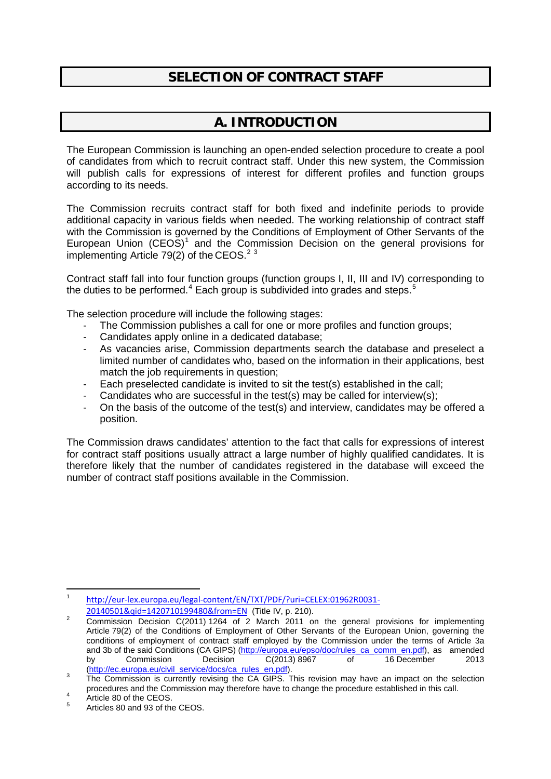### **SELECTION OF CONTRACT STAFF**

# **A. INTRODUCTION**

The European Commission is launching an open-ended selection procedure to create a pool of candidates from which to recruit contract staff. Under this new system, the Commission will publish calls for expressions of interest for different profiles and function groups according to its needs.

The Commission recruits contract staff for both fixed and indefinite periods to provide additional capacity in various fields when needed. The working relationship of contract staff with the Commission is governed by the Conditions of Employment of Other Servants of the European Union  $(CEOS)^1$  $(CEOS)^1$  and the Commission Decision on the general provisions for implementing Article 79([2](#page-0-1)) of the CEOS.<sup>2 [3](#page-0-2)</sup>

Contract staff fall into four function groups (function groups I, II, III and IV) corresponding to the duties to be performed.<sup>[4](#page-0-3)</sup> Each group is subdivided into grades and steps.<sup>[5](#page-0-4)</sup>

The selection procedure will include the following stages:

- The Commission publishes a call for one or more profiles and function groups;
- Candidates apply online in a dedicated database;
- As vacancies arise, Commission departments search the database and preselect a limited number of candidates who, based on the information in their applications, best match the job requirements in question;
- Each preselected candidate is invited to sit the test(s) established in the call:
- Candidates who are successful in the test(s) may be called for interview(s);
- On the basis of the outcome of the test(s) and interview, candidates may be offered a position.

The Commission draws candidates' attention to the fact that calls for expressions of interest for contract staff positions usually attract a large number of highly qualified candidates. It is therefore likely that the number of candidates registered in the database will exceed the number of contract staff positions available in the Commission.

**.** 

<span id="page-0-0"></span><sup>1</sup> [http://eur-lex.europa.eu/legal-content/EN/TXT/PDF/?uri=CELEX:01962R0031-](http://eur-lex.europa.eu/legal-content/EN/TXT/PDF/?uri=CELEX:01962R0031-20140501&qid=1420710199480&from=EN)

<span id="page-0-1"></span>[<sup>20140501&</sup>amp;qid=1420710199480&from=EN](http://eur-lex.europa.eu/legal-content/EN/TXT/PDF/?uri=CELEX:01962R0031-20140501&qid=1420710199480&from=EN) (Title IV, p. 210).<br><sup>2</sup> Commission Decision C(2011) 1264 of 2 March 2011 on the general provisions for implementing Article 79(2) of the Conditions of Employment of Other Servants of the European Union, governing the conditions of employment of contract staff employed by the Commission under the terms of Article 3a and 3b of the said Conditions (CA GIPS) [\(http://europa.eu/epso/doc/rules\\_ca\\_comm\\_en.pdf\)](http://europa.eu/epso/doc/rules_ca_comm_en.pdf), as amended<br>by Commission Decision C(2013) 8967 of 16 December 2013 by Commission Decision C(2013) 8967 of 16 December 2013<br>(http://ec.europa.eu/civil\_service/docs/ca\_rules\_en.pdf).

<span id="page-0-2"></span><sup>&</sup>lt;sup>3</sup> The Commission is currently revising the CA GIPS. This revision may have an impact on the selection procedures and the Commission may therefore have to change the procedure established in this call.<br>
4 Article 80 of the CEOS.<br>
4 Articles 80 and 93 of the CEOS.

<span id="page-0-3"></span>

<span id="page-0-4"></span>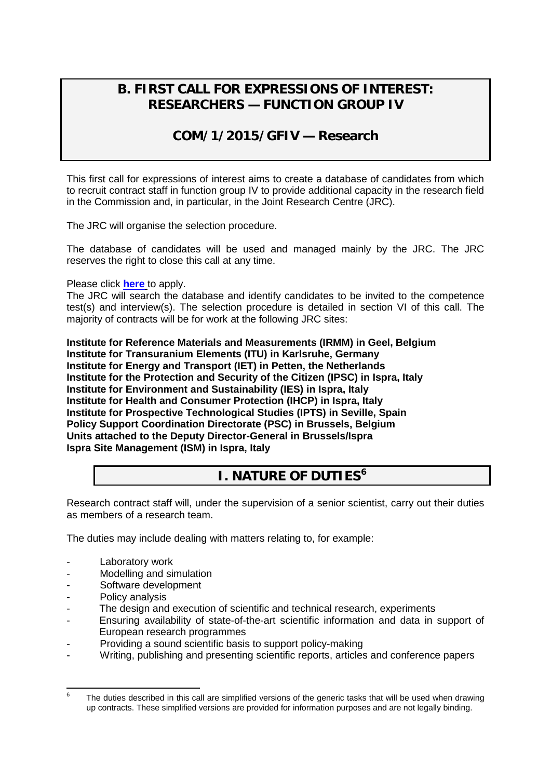### **B. FIRST CALL FOR EXPRESSIONS OF INTEREST: RESEARCHERS — FUNCTION GROUP IV**

### **COM/1/2015/GFIV — Research**

This first call for expressions of interest aims to create a database of candidates from which to recruit contract staff in function group IV to provide additional capacity in the research field in the Commission and, in particular, in the Joint Research Centre (JRC).

The JRC will organise the selection procedure.

The database of candidates will be used and managed mainly by the JRC. The JRC reserves the right to close this call at any time.

Please click **[here](http://recruitment.jrc.ec.europa.eu/jrc-cast.php?lang=en)** to apply.

The JRC will search the database and identify candidates to be invited to the competence test(s) and interview(s). The selection procedure is detailed in section VI of this call. The majority of contracts will be for work at the following JRC sites:

**Institute for Reference Materials and Measurements (IRMM) in Geel, Belgium Institute for Transuranium Elements (ITU) in Karlsruhe, Germany Institute for Energy and Transport (IET) in Petten, the Netherlands Institute for the Protection and Security of the Citizen (IPSC) in Ispra, Italy Institute for Environment and Sustainability (IES) in Ispra, Italy Institute for Health and Consumer Protection (IHCP) in Ispra, Italy Institute for Prospective Technological Studies (IPTS) in Seville, Spain Policy Support Coordination Directorate (PSC) in Brussels, Belgium Units attached to the Deputy Director-General in Brussels/Ispra Ispra Site Management (ISM) in Ispra, Italy**

### **I. NATURE OF DUTIES[6](#page-1-0)**

Research contract staff will, under the supervision of a senior scientist, carry out their duties as members of a research team.

The duties may include dealing with matters relating to, for example:

- Laboratory work
- Modelling and simulation
- Software development
- Policy analysis
- The design and execution of scientific and technical research, experiments
- Ensuring availability of state-of-the-art scientific information and data in support of European research programmes
- Providing a sound scientific basis to support policy-making
- Writing, publishing and presenting scientific reports, articles and conference papers

<span id="page-1-0"></span> $6$  The duties described in this call are simplified versions of the generic tasks that will be used when drawing up contracts. These simplified versions are provided for information purposes and are not legally binding.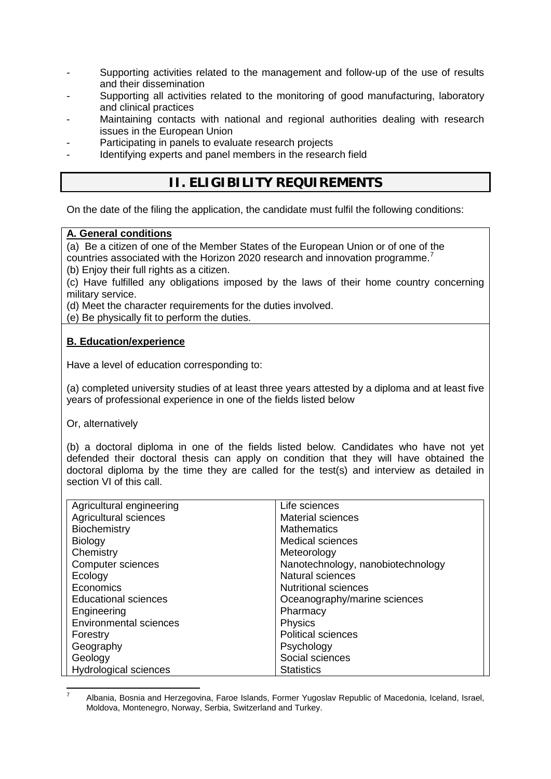- Supporting activities related to the management and follow-up of the use of results and their dissemination
- Supporting all activities related to the monitoring of good manufacturing, laboratory and clinical practices
- Maintaining contacts with national and regional authorities dealing with research issues in the European Union
- Participating in panels to evaluate research projects
- Identifying experts and panel members in the research field

## **II. ELIGIBILITY REQUIREMENTS**

On the date of the filing the application, the candidate must fulfil the following conditions:

#### **A. General conditions**

(a) Be a citizen of one of the Member States of the European Union or of one of the countries associated with the Horizon 2020 research and innovation programme.<sup>[7](#page-2-0)</sup>

(b) Enjoy their full rights as a citizen.

(c) Have fulfilled any obligations imposed by the laws of their home country concerning military service.

(d) Meet the character requirements for the duties involved.

(e) Be physically fit to perform the duties.

### **B. Education/experience**

Have a level of education corresponding to:

(a) completed university studies of at least three years attested by a diploma and at least five years of professional experience in one of the fields listed below

Or, alternatively

(b) a doctoral diploma in one of the fields listed below. Candidates who have not yet defended their doctoral thesis can apply on condition that they will have obtained the doctoral diploma by the time they are called for the test(s) and interview as detailed in section VI of this call.

| Agricultural engineering      | Life sciences                     |
|-------------------------------|-----------------------------------|
| Agricultural sciences         | <b>Material sciences</b>          |
| Biochemistry                  | <b>Mathematics</b>                |
| <b>Biology</b>                | <b>Medical sciences</b>           |
| Chemistry                     | Meteorology                       |
| <b>Computer sciences</b>      | Nanotechnology, nanobiotechnology |
| Ecology                       | <b>Natural sciences</b>           |
| Economics                     | <b>Nutritional sciences</b>       |
| <b>Educational sciences</b>   | Oceanography/marine sciences      |
| Engineering                   | Pharmacy                          |
| <b>Environmental sciences</b> | <b>Physics</b>                    |
| Forestry                      | <b>Political sciences</b>         |
| Geography                     | Psychology                        |
| Geology                       | Social sciences                   |
| <b>Hydrological sciences</b>  | <b>Statistics</b>                 |

<span id="page-2-0"></span><sup>7</sup> Albania, Bosnia and Herzegovina, Faroe Islands, Former Yugoslav Republic of Macedonia, Iceland, Israel, Moldova, Montenegro, Norway, Serbia, Switzerland and Turkey.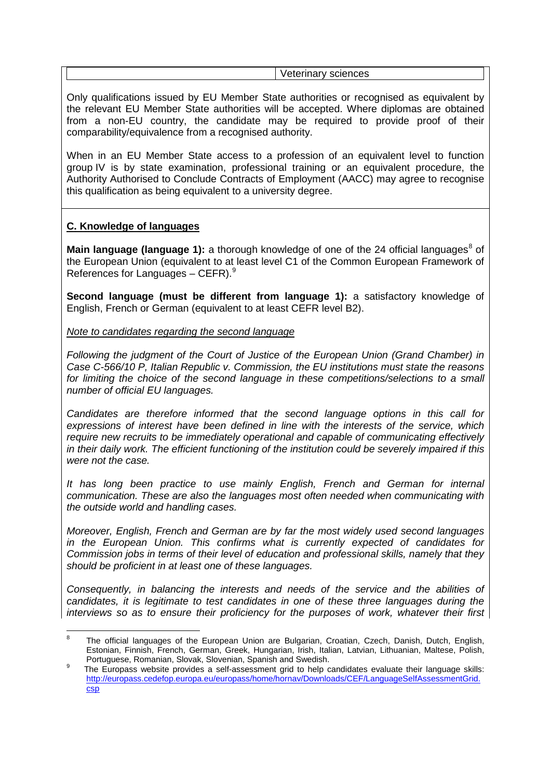Veterinary sciences

Only qualifications issued by EU Member State authorities or recognised as equivalent by the relevant EU Member State authorities will be accepted. Where diplomas are obtained from a non-EU country, the candidate may be required to provide proof of their comparability/equivalence from a recognised authority.

When in an EU Member State access to a profession of an equivalent level to function group IV is by state examination, professional training or an equivalent procedure, the Authority Authorised to Conclude Contracts of Employment (AACC) may agree to recognise this qualification as being equivalent to a university degree.

### **C. Knowledge of languages**

**Main language (language 1):** a thorough knowledge of one of the 24 official languages<sup>[8](#page-3-0)</sup> of the European Union (equivalent to at least level C1 of the Common European Framework of References for Languages  $-$  CEFR).<sup>[9](#page-3-1)</sup>

**Second language (must be different from language 1):** a satisfactory knowledge of English, French or German (equivalent to at least CEFR level B2).

*Note to candidates regarding the second language*

*Following the judgment of the Court of Justice of the European Union (Grand Chamber) in Case C-566/10 P, Italian Republic v. Commission, the EU institutions must state the reasons for limiting the choice of the second language in these competitions/selections to a small number of official EU languages.*

*Candidates are therefore informed that the second language options in this call for expressions of interest have been defined in line with the interests of the service, which require new recruits to be immediately operational and capable of communicating effectively in their daily work. The efficient functioning of the institution could be severely impaired if this were not the case.*

*It has long been practice to use mainly English, French and German for internal communication. These are also the languages most often needed when communicating with the outside world and handling cases.*

*Moreover, English, French and German are by far the most widely used second languages in the European Union. This confirms what is currently expected of candidates for Commission jobs in terms of their level of education and professional skills, namely that they should be proficient in at least one of these languages.*

*Consequently, in balancing the interests and needs of the service and the abilities of candidates, it is legitimate to test candidates in one of these three languages during the interviews so as to ensure their proficiency for the purposes of work, whatever their first* 

<span id="page-3-0"></span><sup>-&</sup>lt;br>8 The official languages of the European Union are Bulgarian, Croatian, Czech, Danish, Dutch, English, Estonian, Finnish, French, German, Greek, Hungarian, Irish, Italian, Latvian, Lithuanian, Maltese, Polish, Portuguese, Romanian, Slovak, Slovenian, Spanish and Swedish.

<span id="page-3-1"></span>The Europass website provides a self-assessment grid to help candidates evaluate their language skills: [http://europass.cedefop.europa.eu/europass/home/hornav/Downloads/CEF/LanguageSelfAssessmentGrid.](http://europass.cedefop.europa.eu/europass/home/hornav/Downloads/CEF/LanguageSelfAssessmentGrid.csp) [csp](http://europass.cedefop.europa.eu/europass/home/hornav/Downloads/CEF/LanguageSelfAssessmentGrid.csp)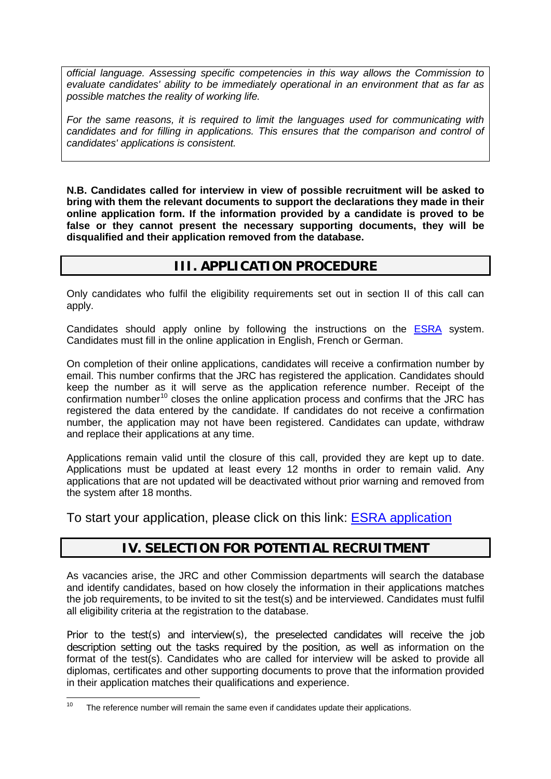*official language. Assessing specific competencies in this way allows the Commission to evaluate candidates' ability to be immediately operational in an environment that as far as possible matches the reality of working life.* 

*For the same reasons, it is required to limit the languages used for communicating with candidates and for filling in applications. This ensures that the comparison and control of candidates' applications is consistent.*

**N.B. Candidates called for interview in view of possible recruitment will be asked to bring with them the relevant documents to support the declarations they made in their online application form. If the information provided by a candidate is proved to be false or they cannot present the necessary supporting documents, they will be disqualified and their application removed from the database.**

### **III. APPLICATION PROCEDURE**

Only candidates who fulfil the eligibility requirements set out in section II of this call can apply.

Candidates should apply online by following the instructions on the [ESRA](http://recruitment.jrc.ec.europa.eu/jrc-cast.php?lang=en) system. Candidates must fill in the online application in English, French or German.

On completion of their online applications, candidates will receive a confirmation number by email. This number confirms that the JRC has registered the application. Candidates should keep the number as it will serve as the application reference number. Receipt of the confirmation number<sup>[10](#page-4-0)</sup> closes the online application process and confirms that the JRC has registered the data entered by the candidate. If candidates do not receive a confirmation number, the application may not have been registered. Candidates can update, withdraw and replace their applications at any time.

Applications remain valid until the closure of this call, provided they are kept up to date. Applications must be updated at least every 12 months in order to remain valid. Any applications that are not updated will be deactivated without prior warning and removed from the system after 18 months.

To start your application, please click on this link: [ESRA application](http://recruitment.jrc.ec.europa.eu/jrc-cast.php?lang=en)

### **IV. SELECTION FOR POTENTIAL RECRUITMENT**

As vacancies arise, the JRC and other Commission departments will search the database and identify candidates, based on how closely the information in their applications matches the job requirements, to be invited to sit the test(s) and be interviewed. Candidates must fulfil all eligibility criteria at the registration to the database.

Prior to the test(s) and interview(s), the preselected candidates will receive the job description setting out the tasks required by the position, as well as information on the format of the test(s). Candidates who are called for interview will be asked to provide all diplomas, certificates and other supporting documents to prove that the information provided in their application matches their qualifications and experience.

<span id="page-4-0"></span> $10$  The reference number will remain the same even if candidates update their applications.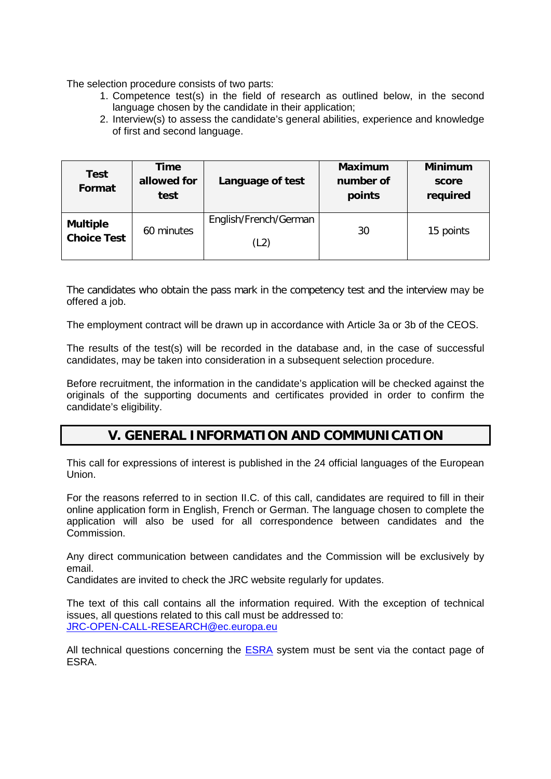The selection procedure consists of two parts:

- 1. Competence test(s) in the field of research as outlined below, in the second language chosen by the candidate in their application;
- 2. Interview(s) to assess the candidate's general abilities, experience and knowledge of first and second language.

| <b>Test</b><br>Format                 | Time<br>allowed for<br>test | Language of test              | <b>Maximum</b><br>number of<br>points | <b>Minimum</b><br>score<br>required |
|---------------------------------------|-----------------------------|-------------------------------|---------------------------------------|-------------------------------------|
| <b>Multiple</b><br><b>Choice Test</b> | 60 minutes                  | English/French/German<br>(L2) | 30                                    | 15 points                           |

The candidates who obtain the pass mark in the competency test and the interview may be offered a job.

The employment contract will be drawn up in accordance with Article 3a or 3b of the CEOS.

The results of the test(s) will be recorded in the database and, in the case of successful candidates, may be taken into consideration in a subsequent selection procedure.

Before recruitment, the information in the candidate's application will be checked against the originals of the supporting documents and certificates provided in order to confirm the candidate's eligibility.

### **V. GENERAL INFORMATION AND COMMUNICATION**

This call for expressions of interest is published in the 24 official languages of the European Union.

For the reasons referred to in section II.C. of this call, candidates are required to fill in their online application form in English, French or German. The language chosen to complete the application will also be used for all correspondence between candidates and the Commission.

Any direct communication between candidates and the Commission will be exclusively by email.

Candidates are invited to check the JRC website regularly for updates.

The text of this call contains all the information required. With the exception of technical issues, all questions related to this call must be addressed to: [JRC-OPEN-CALL-RESEARCH@ec.europa.eu](mailto:JRC-OPEN-CALL-RESEARCH@ec.europa.eu)

All technical questions concerning the [ESRA](http://recruitment.jrc.ec.europa.eu/jrc-cast.php?lang=en) system must be sent via the contact page of ESRA.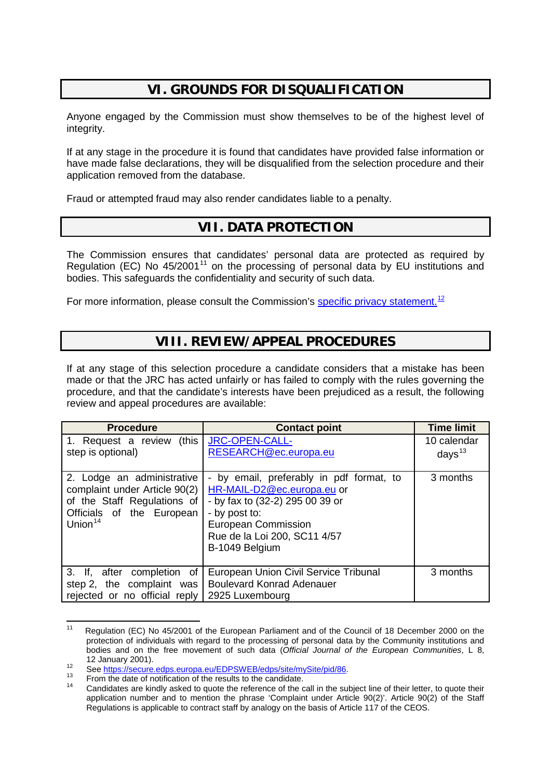### **VI. GROUNDS FOR DISQUALIFICATION**

Anyone engaged by the Commission must show themselves to be of the highest level of integrity.

If at any stage in the procedure it is found that candidates have provided false information or have made false declarations, they will be disqualified from the selection procedure and their application removed from the database.

Fraud or attempted fraud may also render candidates liable to a penalty.

### **VII. DATA PROTECTION**

The Commission ensures that candidates' personal data are protected as required by Regulation (EC) No  $45/2001<sup>11</sup>$  $45/2001<sup>11</sup>$  $45/2001<sup>11</sup>$  on the processing of personal data by EU institutions and bodies. This safeguards the confidentiality and security of such data.

For more information, please consult the Commission's **specific privacy statement.**<sup>[12](#page-6-1)</sup>

### **VIII. REVIEW/APPEAL PROCEDURES**

If at any stage of this selection procedure a candidate considers that a mistake has been made or that the JRC has acted unfairly or has failed to comply with the rules governing the procedure, and that the candidate's interests have been prejudiced as a result, the following review and appeal procedures are available:

| 1. Request a review (this<br>JRC-OPEN-CALL-<br>RESEARCH@ec.europa.eu                                                                                                                                       | 10 calendar     |
|------------------------------------------------------------------------------------------------------------------------------------------------------------------------------------------------------------|-----------------|
|                                                                                                                                                                                                            | days $13$       |
| - by email, preferably in pdf format, to<br>HR-MAIL-D2@ec.europa.eu or<br>- by fax to (32-2) 295 00 39 or<br>- by post to:<br><b>European Commission</b><br>Rue de la Loi 200, SC11 4/57<br>B-1049 Belgium | 3 months        |
| European Union Civil Service Tribunal<br><b>Boulevard Konrad Adenauer</b>                                                                                                                                  | 3 months        |
| rejected or no official reply                                                                                                                                                                              | 2925 Luxembourg |

<span id="page-6-0"></span><sup>&</sup>lt;sup>11</sup> Regulation (EC) No 45/2001 of the European Parliament and of the Council of 18 December 2000 on the protection of individuals with regard to the processing of personal data by the Community institutions and bodies and on the free movement of such data (*Official Journal of the European Communities*, L 8,

<span id="page-6-3"></span>

<span id="page-6-2"></span><span id="page-6-1"></span>See [https://secure.edps.europa.eu/EDPSWEB/edps/site/mySite/pid/86.](https://secure.edps.europa.eu/EDPSWEB/edps/site/mySite/pid/86)<br>
Trom the date of notification of the results to the candidate.<br>
Candidates are kindly asked to quote the reference of the call in the subject line of thei application number and to mention the phrase 'Complaint under Article 90(2)'. Article 90(2) of the Staff Regulations is applicable to contract staff by analogy on the basis of Article 117 of the CEOS.